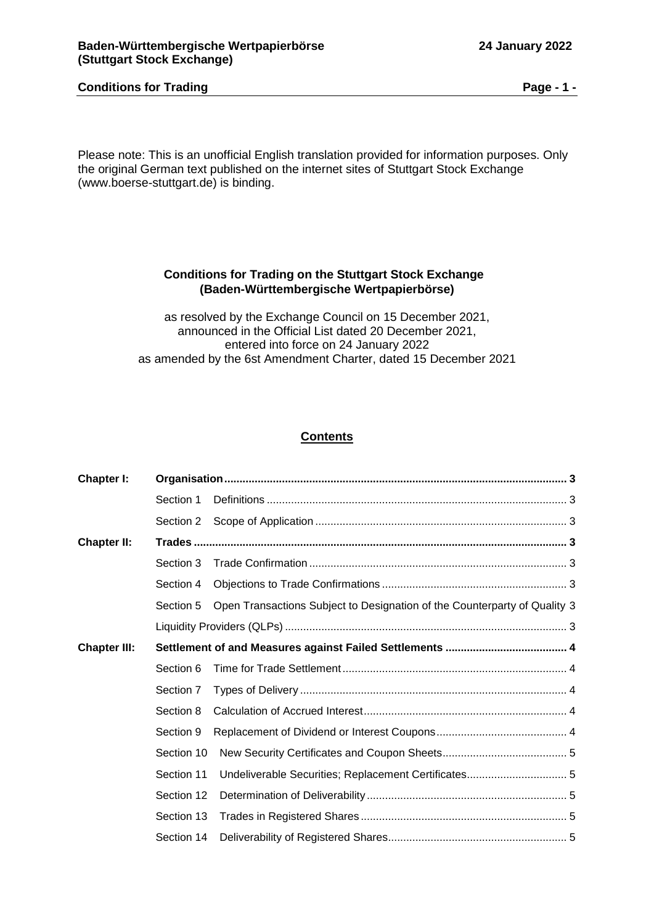# **Conditions for Trading Page - 1 -**

Please note: This is an unofficial English translation provided for information purposes. Only the original German text published on the internet sites of Stuttgart Stock Exchange (www.boerse-stuttgart.de) is binding.

# **Conditions for Trading on the Stuttgart Stock Exchange (Baden-Württembergische Wertpapierbörse)**

as resolved by the Exchange Council on 15 December 2021, announced in the Official List dated 20 December 2021, entered into force on 24 January 2022 as amended by the 6st Amendment Charter, dated 15 December 2021

# **Contents**

| Chapter I:          |            |                                                                           |  |
|---------------------|------------|---------------------------------------------------------------------------|--|
|                     | Section 1  |                                                                           |  |
|                     | Section 2  |                                                                           |  |
| <b>Chapter II:</b>  |            |                                                                           |  |
|                     | Section 3  |                                                                           |  |
|                     | Section 4  |                                                                           |  |
|                     | Section 5  | Open Transactions Subject to Designation of the Counterparty of Quality 3 |  |
|                     |            |                                                                           |  |
| <b>Chapter III:</b> |            |                                                                           |  |
|                     | Section 6  |                                                                           |  |
|                     | Section 7  |                                                                           |  |
|                     | Section 8  |                                                                           |  |
|                     | Section 9  |                                                                           |  |
|                     | Section 10 |                                                                           |  |
|                     | Section 11 |                                                                           |  |
|                     | Section 12 |                                                                           |  |
|                     | Section 13 |                                                                           |  |
|                     | Section 14 |                                                                           |  |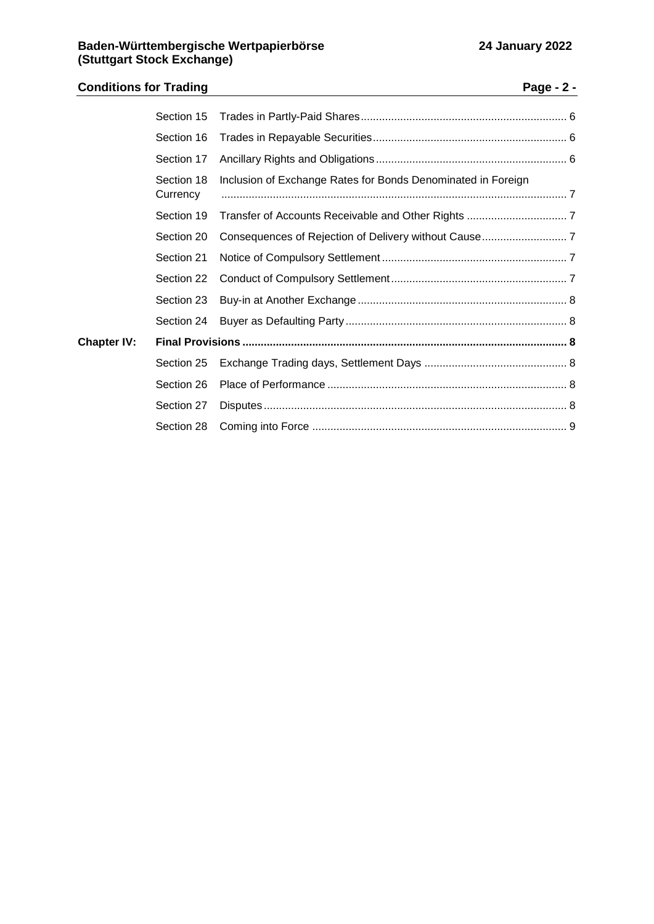# **Conditions for Trading Page - 2 -** Section 15 [Trades in Partly-Paid Shares....................................................................](#page-5-0) 6 Section 16 [Trades in Repayable Securities................................................................](#page-5-1) 6

|                    | Section 17             |                                                              |  |
|--------------------|------------------------|--------------------------------------------------------------|--|
|                    | Section 18<br>Currency | Inclusion of Exchange Rates for Bonds Denominated in Foreign |  |
|                    | Section 19             |                                                              |  |
|                    | Section 20             |                                                              |  |
|                    | Section 21             |                                                              |  |
|                    | Section 22             |                                                              |  |
|                    | Section 23             |                                                              |  |
|                    | Section 24             |                                                              |  |
| <b>Chapter IV:</b> |                        |                                                              |  |
|                    |                        |                                                              |  |
|                    | Section 26             |                                                              |  |
|                    | Section 27             |                                                              |  |
|                    | Section 28             |                                                              |  |
|                    |                        |                                                              |  |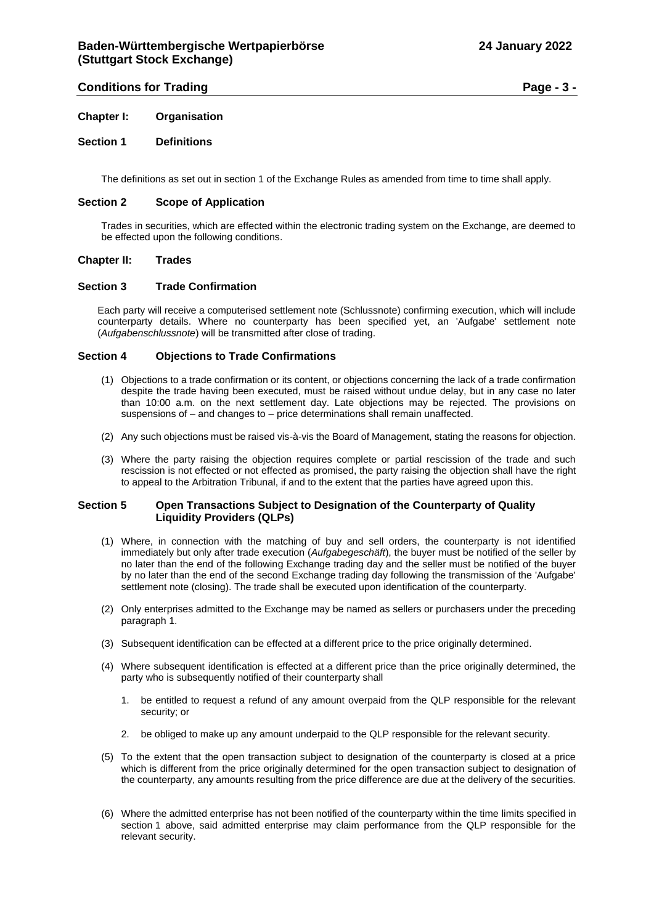# **Conditions for Trading Page - 3 -**

<span id="page-2-0"></span>**Chapter I: Organisation**

# <span id="page-2-1"></span>**Section 1 Definitions**

The definitions as set out in section 1 of the Exchange Rules as amended from time to time shall apply.

# <span id="page-2-2"></span>**Section 2 Scope of Application**

Trades in securities, which are effected within the electronic trading system on the Exchange, are deemed to be effected upon the following conditions.

# <span id="page-2-3"></span>**Chapter II: Trades**

# <span id="page-2-4"></span>**Section 3 Trade Confirmation**

Each party will receive a computerised settlement note (Schlussnote) confirming execution, which will include counterparty details. Where no counterparty has been specified yet, an 'Aufgabe' settlement note (*Aufgabenschlussnote*) will be transmitted after close of trading.

# <span id="page-2-5"></span>**Section 4 Objections to Trade Confirmations**

- (1) Objections to a trade confirmation or its content, or objections concerning the lack of a trade confirmation despite the trade having been executed, must be raised without undue delay, but in any case no later than 10:00 a.m. on the next settlement day. Late objections may be rejected. The provisions on suspensions of – and changes to – price determinations shall remain unaffected.
- (2) Any such objections must be raised vis-à-vis the Board of Management, stating the reasons for objection.
- (3) Where the party raising the objection requires complete or partial rescission of the trade and such rescission is not effected or not effected as promised, the party raising the objection shall have the right to appeal to the Arbitration Tribunal, if and to the extent that the parties have agreed upon this.

# <span id="page-2-7"></span><span id="page-2-6"></span>**Section 5 Open Transactions Subject to Designation of the Counterparty of Quality Liquidity Providers (QLPs)**

- (1) Where, in connection with the matching of buy and sell orders, the counterparty is not identified immediately but only after trade execution (*Aufgabegeschäft*), the buyer must be notified of the seller by no later than the end of the following Exchange trading day and the seller must be notified of the buyer by no later than the end of the second Exchange trading day following the transmission of the 'Aufgabe' settlement note (closing). The trade shall be executed upon identification of the counterparty.
- (2) Only enterprises admitted to the Exchange may be named as sellers or purchasers under the preceding paragraph 1.
- (3) Subsequent identification can be effected at a different price to the price originally determined.
- (4) Where subsequent identification is effected at a different price than the price originally determined, the party who is subsequently notified of their counterparty shall
	- 1. be entitled to request a refund of any amount overpaid from the QLP responsible for the relevant security; or
	- 2. be obliged to make up any amount underpaid to the QLP responsible for the relevant security.
- (5) To the extent that the open transaction subject to designation of the counterparty is closed at a price which is different from the price originally determined for the open transaction subject to designation of the counterparty, any amounts resulting from the price difference are due at the delivery of the securities.
- (6) Where the admitted enterprise has not been notified of the counterparty within the time limits specified in section 1 above, said admitted enterprise may claim performance from the QLP responsible for the relevant security.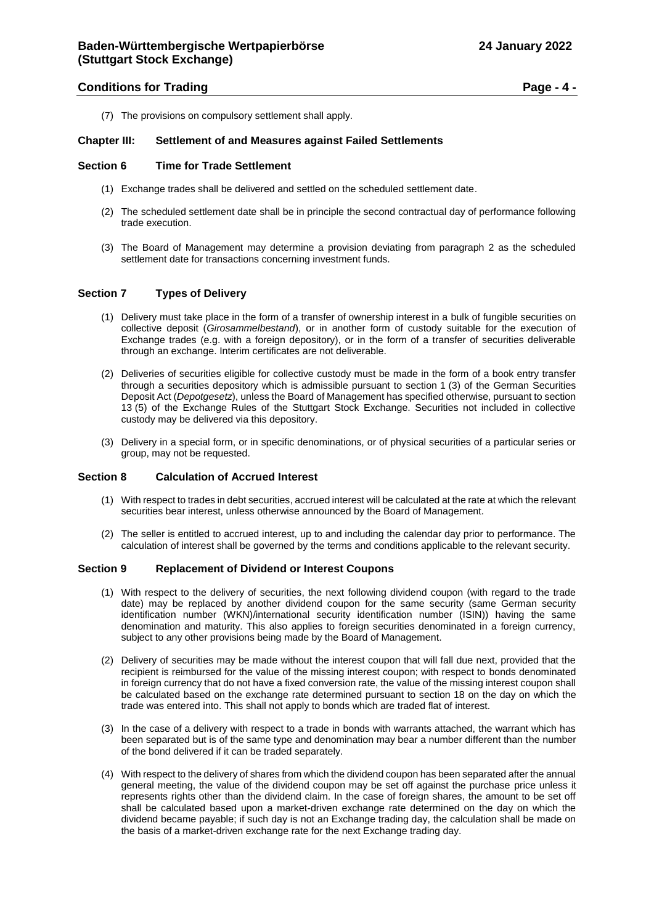# **Conditions for Trading Page - 4 -**

(7) The provisions on compulsory settlement shall apply.

# <span id="page-3-0"></span>**Chapter III: Settlement of and Measures against Failed Settlements**

#### <span id="page-3-1"></span>**Section 6 Time for Trade Settlement**

- (1) Exchange trades shall be delivered and settled on the scheduled settlement date.
- (2) The scheduled settlement date shall be in principle the second contractual day of performance following trade execution.
- (3) The Board of Management may determine a provision deviating from paragraph 2 as the scheduled settlement date for transactions concerning investment funds.

# <span id="page-3-2"></span>**Section 7 Types of Delivery**

- (1) Delivery must take place in the form of a transfer of ownership interest in a bulk of fungible securities on collective deposit (*Girosammelbestand*), or in another form of custody suitable for the execution of Exchange trades (e.g. with a foreign depository), or in the form of a transfer of securities deliverable through an exchange. Interim certificates are not deliverable.
- (2) Deliveries of securities eligible for collective custody must be made in the form of a book entry transfer through a securities depository which is admissible pursuant to section 1 (3) of the German Securities Deposit Act (*Depotgesetz*), unless the Board of Management has specified otherwise, pursuant to section 13 (5) of the Exchange Rules of the Stuttgart Stock Exchange. Securities not included in collective custody may be delivered via this depository.
- (3) Delivery in a special form, or in specific denominations, or of physical securities of a particular series or group, may not be requested.

# <span id="page-3-3"></span>**Section 8 Calculation of Accrued Interest**

- (1) With respect to trades in debt securities, accrued interest will be calculated at the rate at which the relevant securities bear interest, unless otherwise announced by the Board of Management.
- (2) The seller is entitled to accrued interest, up to and including the calendar day prior to performance. The calculation of interest shall be governed by the terms and conditions applicable to the relevant security.

#### <span id="page-3-4"></span>**Section 9 Replacement of Dividend or Interest Coupons**

- (1) With respect to the delivery of securities, the next following dividend coupon (with regard to the trade date) may be replaced by another dividend coupon for the same security (same German security identification number (WKN)/international security identification number (ISIN)) having the same denomination and maturity. This also applies to foreign securities denominated in a foreign currency, subject to any other provisions being made by the Board of Management.
- (2) Delivery of securities may be made without the interest coupon that will fall due next, provided that the recipient is reimbursed for the value of the missing interest coupon; with respect to bonds denominated in foreign currency that do not have a fixed conversion rate, the value of the missing interest coupon shall be calculated based on the exchange rate determined pursuant to section 18 on the day on which the trade was entered into. This shall not apply to bonds which are traded flat of interest.
- (3) In the case of a delivery with respect to a trade in bonds with warrants attached, the warrant which has been separated but is of the same type and denomination may bear a number different than the number of the bond delivered if it can be traded separately.
- (4) With respect to the delivery of shares from which the dividend coupon has been separated after the annual general meeting, the value of the dividend coupon may be set off against the purchase price unless it represents rights other than the dividend claim. In the case of foreign shares, the amount to be set off shall be calculated based upon a market-driven exchange rate determined on the day on which the dividend became payable; if such day is not an Exchange trading day, the calculation shall be made on the basis of a market-driven exchange rate for the next Exchange trading day.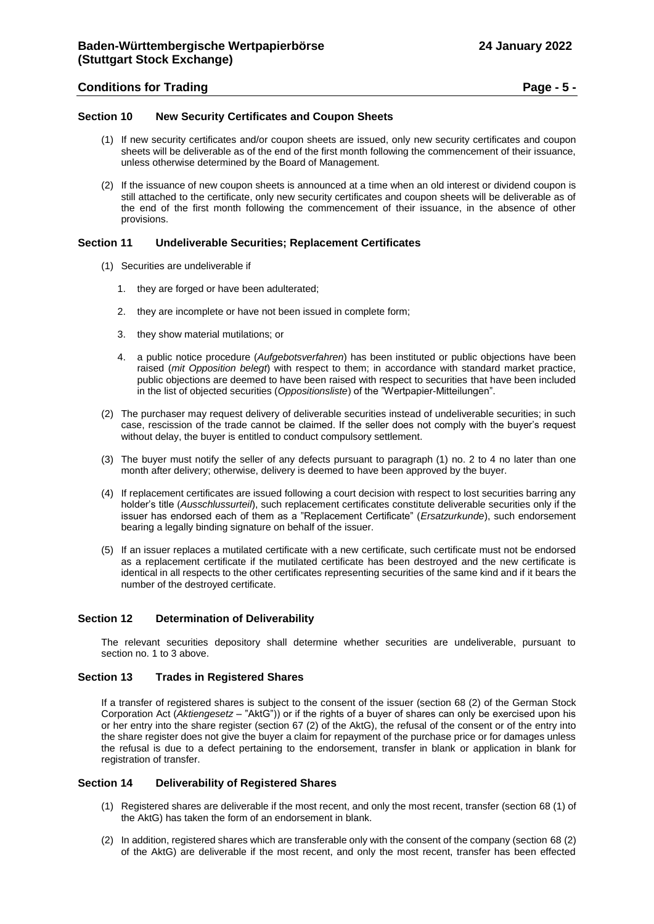# <span id="page-4-0"></span>**Section 10 New Security Certificates and Coupon Sheets**

- (1) If new security certificates and/or coupon sheets are issued, only new security certificates and coupon sheets will be deliverable as of the end of the first month following the commencement of their issuance, unless otherwise determined by the Board of Management.
- (2) If the issuance of new coupon sheets is announced at a time when an old interest or dividend coupon is still attached to the certificate, only new security certificates and coupon sheets will be deliverable as of the end of the first month following the commencement of their issuance, in the absence of other provisions.

# <span id="page-4-1"></span>**Section 11 Undeliverable Securities; Replacement Certificates**

- (1) Securities are undeliverable if
	- 1. they are forged or have been adulterated;
	- 2. they are incomplete or have not been issued in complete form;
	- 3. they show material mutilations; or
	- 4. a public notice procedure (*Aufgebotsverfahren*) has been instituted or public objections have been raised (*mit Opposition belegt*) with respect to them; in accordance with standard market practice, public objections are deemed to have been raised with respect to securities that have been included in the list of objected securities (*Oppositionsliste*) of the "Wertpapier-Mitteilungen".
- (2) The purchaser may request delivery of deliverable securities instead of undeliverable securities; in such case, rescission of the trade cannot be claimed. If the seller does not comply with the buyer's request without delay, the buyer is entitled to conduct compulsory settlement.
- (3) The buyer must notify the seller of any defects pursuant to paragraph (1) no. 2 to 4 no later than one month after delivery; otherwise, delivery is deemed to have been approved by the buyer.
- (4) If replacement certificates are issued following a court decision with respect to lost securities barring any holder's title (*Ausschlussurteil*), such replacement certificates constitute deliverable securities only if the issuer has endorsed each of them as a "Replacement Certificate" (*Ersatzurkunde*), such endorsement bearing a legally binding signature on behalf of the issuer.
- (5) If an issuer replaces a mutilated certificate with a new certificate, such certificate must not be endorsed as a replacement certificate if the mutilated certificate has been destroyed and the new certificate is identical in all respects to the other certificates representing securities of the same kind and if it bears the number of the destroyed certificate.

# <span id="page-4-2"></span>**Section 12 Determination of Deliverability**

The relevant securities depository shall determine whether securities are undeliverable, pursuant to section no. 1 to 3 above.

# <span id="page-4-3"></span>**Section 13 Trades in Registered Shares**

If a transfer of registered shares is subject to the consent of the issuer (section 68 (2) of the German Stock Corporation Act (*Aktiengesetz* – "AktG")) or if the rights of a buyer of shares can only be exercised upon his or her entry into the share register (section 67 (2) of the AktG), the refusal of the consent or of the entry into the share register does not give the buyer a claim for repayment of the purchase price or for damages unless the refusal is due to a defect pertaining to the endorsement, transfer in blank or application in blank for registration of transfer.

# <span id="page-4-4"></span>**Section 14 Deliverability of Registered Shares**

- (1) Registered shares are deliverable if the most recent, and only the most recent, transfer (section 68 (1) of the AktG) has taken the form of an endorsement in blank.
- (2) In addition, registered shares which are transferable only with the consent of the company (section 68 (2) of the AktG) are deliverable if the most recent, and only the most recent, transfer has been effected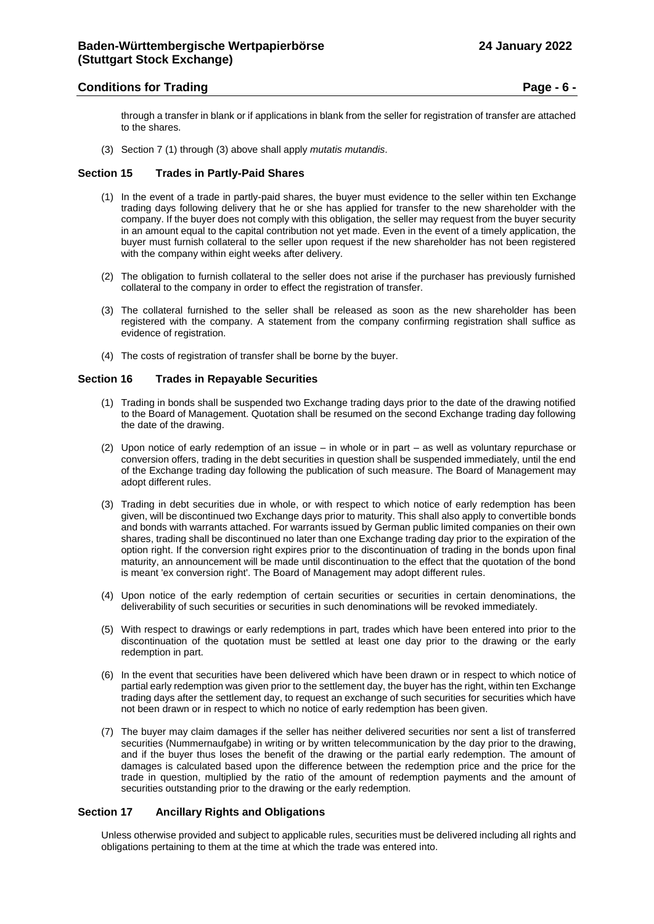# **Conditions for Trading Page - 6 -**

through a transfer in blank or if applications in blank from the seller for registration of transfer are attached to the shares.

(3) Section 7 (1) through (3) above shall apply *mutatis mutandis*.

#### <span id="page-5-0"></span>**Section 15 Trades in Partly-Paid Shares**

- (1) In the event of a trade in partly-paid shares, the buyer must evidence to the seller within ten Exchange trading days following delivery that he or she has applied for transfer to the new shareholder with the company. If the buyer does not comply with this obligation, the seller may request from the buyer security in an amount equal to the capital contribution not yet made. Even in the event of a timely application, the buyer must furnish collateral to the seller upon request if the new shareholder has not been registered with the company within eight weeks after delivery.
- (2) The obligation to furnish collateral to the seller does not arise if the purchaser has previously furnished collateral to the company in order to effect the registration of transfer.
- (3) The collateral furnished to the seller shall be released as soon as the new shareholder has been registered with the company. A statement from the company confirming registration shall suffice as evidence of registration.
- (4) The costs of registration of transfer shall be borne by the buyer.

# <span id="page-5-1"></span>**Section 16 Trades in Repayable Securities**

- (1) Trading in bonds shall be suspended two Exchange trading days prior to the date of the drawing notified to the Board of Management. Quotation shall be resumed on the second Exchange trading day following the date of the drawing.
- (2) Upon notice of early redemption of an issue in whole or in part as well as voluntary repurchase or conversion offers, trading in the debt securities in question shall be suspended immediately, until the end of the Exchange trading day following the publication of such measure. The Board of Management may adopt different rules.
- (3) Trading in debt securities due in whole, or with respect to which notice of early redemption has been given, will be discontinued two Exchange days prior to maturity. This shall also apply to convertible bonds and bonds with warrants attached. For warrants issued by German public limited companies on their own shares, trading shall be discontinued no later than one Exchange trading day prior to the expiration of the option right. If the conversion right expires prior to the discontinuation of trading in the bonds upon final maturity, an announcement will be made until discontinuation to the effect that the quotation of the bond is meant 'ex conversion right'. The Board of Management may adopt different rules.
- (4) Upon notice of the early redemption of certain securities or securities in certain denominations, the deliverability of such securities or securities in such denominations will be revoked immediately.
- (5) With respect to drawings or early redemptions in part, trades which have been entered into prior to the discontinuation of the quotation must be settled at least one day prior to the drawing or the early redemption in part.
- (6) In the event that securities have been delivered which have been drawn or in respect to which notice of partial early redemption was given prior to the settlement day, the buyer has the right, within ten Exchange trading days after the settlement day, to request an exchange of such securities for securities which have not been drawn or in respect to which no notice of early redemption has been given.
- (7) The buyer may claim damages if the seller has neither delivered securities nor sent a list of transferred securities (Nummernaufgabe) in writing or by written telecommunication by the day prior to the drawing, and if the buyer thus loses the benefit of the drawing or the partial early redemption. The amount of damages is calculated based upon the difference between the redemption price and the price for the trade in question, multiplied by the ratio of the amount of redemption payments and the amount of securities outstanding prior to the drawing or the early redemption.

# <span id="page-5-2"></span>**Section 17 Ancillary Rights and Obligations**

Unless otherwise provided and subject to applicable rules, securities must be delivered including all rights and obligations pertaining to them at the time at which the trade was entered into.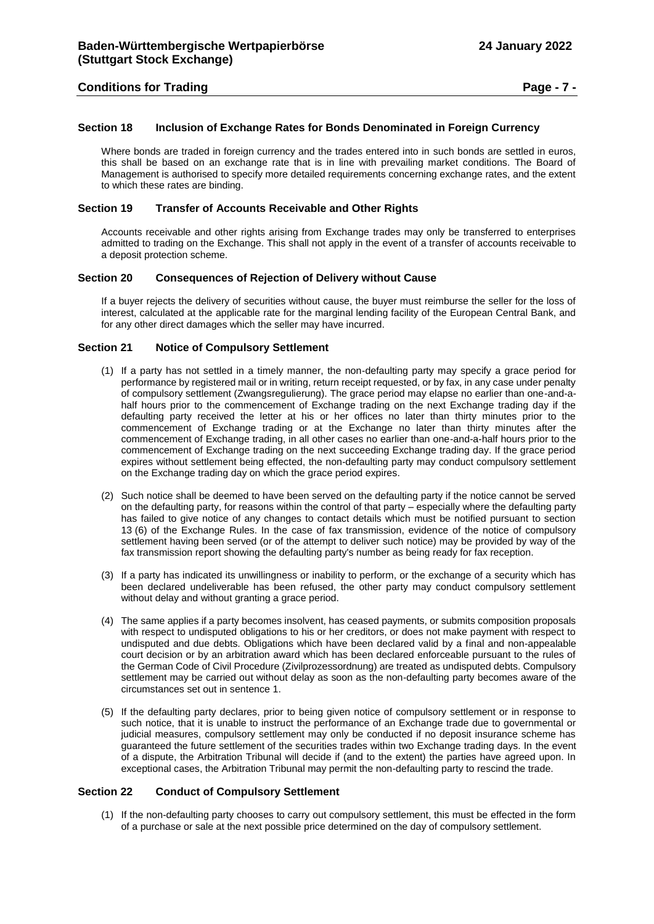# **Conditions for Trading Page - 7 -**

# <span id="page-6-0"></span>**Section 18 Inclusion of Exchange Rates for Bonds Denominated in Foreign Currency**

Where bonds are traded in foreign currency and the trades entered into in such bonds are settled in euros, this shall be based on an exchange rate that is in line with prevailing market conditions. The Board of Management is authorised to specify more detailed requirements concerning exchange rates, and the extent to which these rates are binding.

# <span id="page-6-1"></span>**Section 19 Transfer of Accounts Receivable and Other Rights**

Accounts receivable and other rights arising from Exchange trades may only be transferred to enterprises admitted to trading on the Exchange. This shall not apply in the event of a transfer of accounts receivable to a deposit protection scheme.

#### <span id="page-6-2"></span>**Section 20 Consequences of Rejection of Delivery without Cause**

If a buyer rejects the delivery of securities without cause, the buyer must reimburse the seller for the loss of interest, calculated at the applicable rate for the marginal lending facility of the European Central Bank, and for any other direct damages which the seller may have incurred.

#### <span id="page-6-3"></span>**Section 21 Notice of Compulsory Settlement**

- (1) If a party has not settled in a timely manner, the non-defaulting party may specify a grace period for performance by registered mail or in writing, return receipt requested, or by fax, in any case under penalty of compulsory settlement (Zwangsregulierung). The grace period may elapse no earlier than one-and-ahalf hours prior to the commencement of Exchange trading on the next Exchange trading day if the defaulting party received the letter at his or her offices no later than thirty minutes prior to the commencement of Exchange trading or at the Exchange no later than thirty minutes after the commencement of Exchange trading, in all other cases no earlier than one-and-a-half hours prior to the commencement of Exchange trading on the next succeeding Exchange trading day. If the grace period expires without settlement being effected, the non-defaulting party may conduct compulsory settlement on the Exchange trading day on which the grace period expires.
- (2) Such notice shall be deemed to have been served on the defaulting party if the notice cannot be served on the defaulting party, for reasons within the control of that party – especially where the defaulting party has failed to give notice of any changes to contact details which must be notified pursuant to section 13 (6) of the Exchange Rules. In the case of fax transmission, evidence of the notice of compulsory settlement having been served (or of the attempt to deliver such notice) may be provided by way of the fax transmission report showing the defaulting party's number as being ready for fax reception.
- (3) If a party has indicated its unwillingness or inability to perform, or the exchange of a security which has been declared undeliverable has been refused, the other party may conduct compulsory settlement without delay and without granting a grace period.
- (4) The same applies if a party becomes insolvent, has ceased payments, or submits composition proposals with respect to undisputed obligations to his or her creditors, or does not make payment with respect to undisputed and due debts. Obligations which have been declared valid by a final and non-appealable court decision or by an arbitration award which has been declared enforceable pursuant to the rules of the German Code of Civil Procedure (Zivilprozessordnung) are treated as undisputed debts. Compulsory settlement may be carried out without delay as soon as the non-defaulting party becomes aware of the circumstances set out in sentence 1.
- (5) If the defaulting party declares, prior to being given notice of compulsory settlement or in response to such notice, that it is unable to instruct the performance of an Exchange trade due to governmental or judicial measures, compulsory settlement may only be conducted if no deposit insurance scheme has guaranteed the future settlement of the securities trades within two Exchange trading days. In the event of a dispute, the Arbitration Tribunal will decide if (and to the extent) the parties have agreed upon. In exceptional cases, the Arbitration Tribunal may permit the non-defaulting party to rescind the trade.

#### <span id="page-6-4"></span>**Section 22 Conduct of Compulsory Settlement**

(1) If the non-defaulting party chooses to carry out compulsory settlement, this must be effected in the form of a purchase or sale at the next possible price determined on the day of compulsory settlement.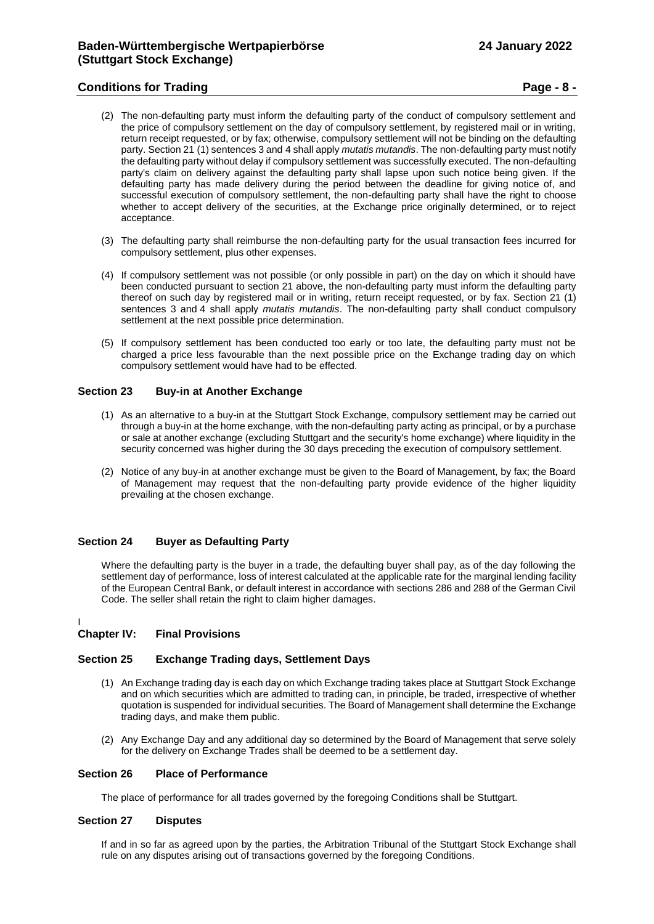# **Conditions for Trading Page - 8 -**

- (2) The non-defaulting party must inform the defaulting party of the conduct of compulsory settlement and the price of compulsory settlement on the day of compulsory settlement, by registered mail or in writing, return receipt requested, or by fax; otherwise, compulsory settlement will not be binding on the defaulting party. Section 21 (1) sentences 3 and 4 shall apply *mutatis mutandis*. The non-defaulting party must notify the defaulting party without delay if compulsory settlement was successfully executed. The non-defaulting party's claim on delivery against the defaulting party shall lapse upon such notice being given. If the defaulting party has made delivery during the period between the deadline for giving notice of, and successful execution of compulsory settlement, the non-defaulting party shall have the right to choose whether to accept delivery of the securities, at the Exchange price originally determined, or to reject acceptance.
- (3) The defaulting party shall reimburse the non-defaulting party for the usual transaction fees incurred for compulsory settlement, plus other expenses.
- (4) If compulsory settlement was not possible (or only possible in part) on the day on which it should have been conducted pursuant to section 21 above, the non-defaulting party must inform the defaulting party thereof on such day by registered mail or in writing, return receipt requested, or by fax. Section 21 (1) sentences 3 and 4 shall apply *mutatis mutandis*. The non-defaulting party shall conduct compulsory settlement at the next possible price determination.
- (5) If compulsory settlement has been conducted too early or too late, the defaulting party must not be charged a price less favourable than the next possible price on the Exchange trading day on which compulsory settlement would have had to be effected.

# <span id="page-7-0"></span>**Section 23 Buy-in at Another Exchange**

- (1) As an alternative to a buy-in at the Stuttgart Stock Exchange, compulsory settlement may be carried out through a buy-in at the home exchange, with the non-defaulting party acting as principal, or by a purchase or sale at another exchange (excluding Stuttgart and the security's home exchange) where liquidity in the security concerned was higher during the 30 days preceding the execution of compulsory settlement.
- (2) Notice of any buy-in at another exchange must be given to the Board of Management, by fax; the Board of Management may request that the non-defaulting party provide evidence of the higher liquidity prevailing at the chosen exchange.

#### <span id="page-7-1"></span>**Section 24 Buyer as Defaulting Party**

Where the defaulting party is the buyer in a trade, the defaulting buyer shall pay, as of the day following the settlement day of performance, loss of interest calculated at the applicable rate for the marginal lending facility of the European Central Bank, or default interest in accordance with sections 286 and 288 of the German Civil Code. The seller shall retain the right to claim higher damages.

I

# <span id="page-7-2"></span>**Chapter IV: Final Provisions**

# <span id="page-7-3"></span>**Section 25 Exchange Trading days, Settlement Days**

- (1) An Exchange trading day is each day on which Exchange trading takes place at Stuttgart Stock Exchange and on which securities which are admitted to trading can, in principle, be traded, irrespective of whether quotation is suspended for individual securities. The Board of Management shall determine the Exchange trading days, and make them public.
- (2) Any Exchange Day and any additional day so determined by the Board of Management that serve solely for the delivery on Exchange Trades shall be deemed to be a settlement day.

#### <span id="page-7-4"></span>**Section 26 Place of Performance**

The place of performance for all trades governed by the foregoing Conditions shall be Stuttgart.

#### <span id="page-7-5"></span>**Section 27 Disputes**

If and in so far as agreed upon by the parties, the Arbitration Tribunal of the Stuttgart Stock Exchange shall rule on any disputes arising out of transactions governed by the foregoing Conditions.